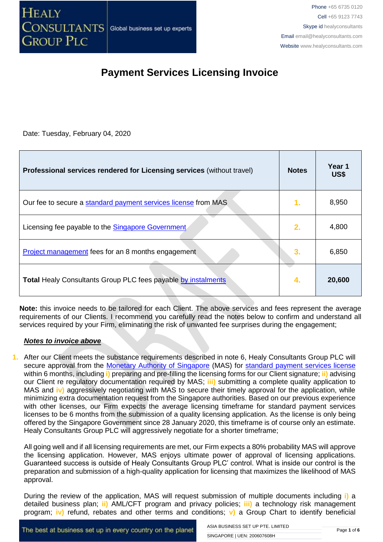Date: Tuesday, February 04, 2020

| Professional services rendered for Licensing services (without travel) | <b>Notes</b>  | Year 1<br><b>US\$</b> |
|------------------------------------------------------------------------|---------------|-----------------------|
| Our fee to secure a standard payment services license from MAS         | $\mathbf 1$ . | 8,950                 |
| Licensing fee payable to the <b>Singapore Government</b>               | 2.            | 4,800                 |
| Project management fees for an 8 months engagement                     | 3.            | 6,850                 |
| <b>Total Healy Consultants Group PLC fees payable by instalments</b>   | 4.            | 20,600                |

**Note:** this invoice needs to be tailored for each Client. The above services and fees represent the average requirements of our Clients. I recommend you carefully read the notes below to confirm and understand all services required by your Firm, eliminating the risk of unwanted fee surprises during the engagement;

#### *Notes to invoice above*

**1.** After our Client meets the substance requirements described in note 6, Healy Consultants Group PLC will secure approval from the [Monetary Authority of Singapore](http://www.mas.gov.sg/) (MAS) for [standard payment services](https://www.mas.gov.sg/regulation/acts/payment-services-act) license within 6 months, including **i)** preparing and pre-filling the licensing forms for our Client signature; **ii)** advising our Client re regulatory documentation required by MAS; **iii)** submitting a complete quality application to MAS and **iv)** aggressively negotiating with MAS to secure their timely approval for the application, while minimizing extra documentation request from the Singapore authorities. Based on our previous experience with other licenses, our Firm expects the average licensing timeframe for standard payment services licenses to be 6 months from the submission of a quality licensing application. As the license is only being offered by the Singapore Government since 28 January 2020, this timeframe is of course only an estimate. Healy Consultants Group PLC will aggressively negotiate for a shorter timeframe;

All going well and if all licensing requirements are met, our Firm expects a 80% probability MAS will approve the licensing application. However, MAS enjoys ultimate power of approval of licensing applications. Guaranteed success is outside of Healy Consultants Group PLC' control. What is inside our control is the preparation and submission of a high-quality application for licensing that maximizes the likelihood of MAS approval.

During the review of the application, MAS will request submission of multiple documents including **i)** a detailed business plan; **ii)** AML/CFT program and privacy policies; **iii)** a technology risk management program; **iv)** refund, rebates and other terms and conditions; **v)** a Group Chart to identify beneficial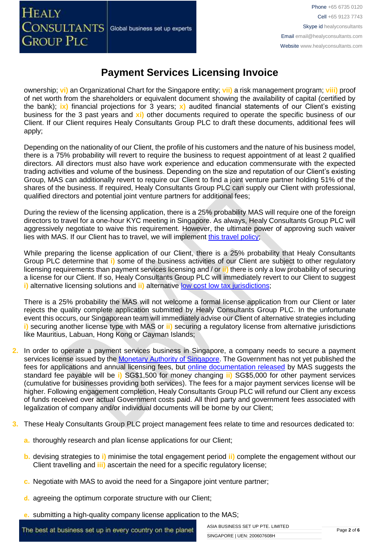ownership; **vi)** an Organizational Chart for the Singapore entity; **vii)** a risk management program; **viii)** proof of net worth from the shareholders or equivalent document showing the availability of capital (certified by the bank); **ix)** financial projections for 3 years; **x)** audited financial statements of our Client's existing business for the 3 past years and **xi)** other documents required to operate the specific business of our Client. If our Client requires Healy Consultants Group PLC to draft these documents, additional fees will apply;

Depending on the nationality of our Client, the profile of his customers and the nature of his business model, there is a 75% probability will revert to require the business to request appointment of at least 2 qualified directors. All directors must also have work experience and education commensurate with the expected trading activities and volume of the business. Depending on the size and reputation of our Client's existing Group, MAS can additionally revert to require our Client to find a joint venture partner holding 51% of the shares of the business. If required, Healy Consultants Group PLC can supply our Client with professional, qualified directors and potential joint venture partners for additional fees;

During the review of the licensing application, there is a 25% probability MAS will require one of the foreign directors to travel for a one-hour KYC meeting in Singapore. As always, Healy Consultants Group PLC will aggressively negotiate to waive this requirement. However, the ultimate power of approving such waiver lies with MAS. If our Client has to travel, we will implement [this travel policy;](http://www.healyconsultants.com/international-banking/corporate-accounts/meet-bank-officer/)

While preparing the license application of our Client, there is a 25% probability that Healy Consultants Group PLC determine that **i)** some of the business activities of our Client are subject to other regulatory licensing requirements than payment services licensing and / or **ii)** there is only a low probability of securing a license for our Client. If so, Healy Consultants Group PLC will immediately revert to our Client to suggest **i)** alternative licensing solutions and **ii)** alternative [low cost low tax jurisdictions;](http://www.healyconsultants.com/country-comparisons/low-cost-fx-brokerage-companies/)

There is a 25% probability the MAS will not welcome a formal license application from our Client or later rejects the quality complete application submitted by Healy Consultants Group PLC. In the unfortunate event this occurs, our Singaporean team will immediately advise our Client of alternative strategies including **i)** securing another license type with MAS or **ii)** securing a regulatory license from alternative jurisdictions like Mauritius, Labuan, Hong Kong or Cayman Islands;

- **2.** In order to operate a payment services business in Singapore, a company needs to secure a payment services license issued by the [Monetary Authority of Singapore.](http://www.mas.gov.sg/) The Government has not yet published the fees for applications and annual licensing fees, but [online documentation released](https://www.mas.gov.sg/-/media/MAS/Sectors/Guidance/Guidelines-on-Licensing-for-Payment-Service-Providers.pdf) by MAS suggests the standard fee payable will be **i)** SG\$1,500 for money changing **ii)** SG\$5,000 for other payment services (cumulative for businesses providing both services). The fees for a major payment services license will be higher. Following engagement completion, Healy Consultants Group PLC will refund our Client any excess of funds received over actual Government costs paid. All third party and government fees associated with legalization of company and/or individual documents will be borne by our Client;
- **3.** These Healy Consultants Group PLC project management fees relate to time and resources dedicated to:
	- **a.** thoroughly research and plan license applications for our Client;
	- **b.** devising strategies to **i)** minimise the total engagement period **ii)** complete the engagement without our Client travelling and **iii)** ascertain the need for a specific regulatory license;
	- **c.** Negotiate with MAS to avoid the need for a Singapore joint venture partner;
	- **d.** agreeing the optimum corporate structure with our Client;
	- **e.** submitting a high-quality company license application to the MAS;

The best at business set up in every country on the planet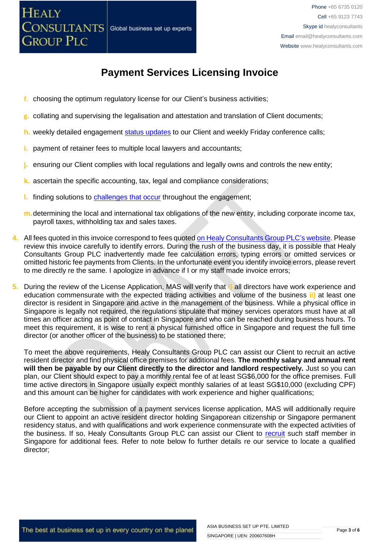

- **f.** choosing the optimum regulatory license for our Client's business activities;
- **g.** collating and supervising the legalisation and attestation and translation of Client documents;
- **h.** weekly detailed engagement [status updates](http://www.healyconsultants.com/index-important-links/weekly-engagement-status-email/) to our Client and weekly Friday conference calls;
- **i.** payment of retainer fees to multiple local lawyers and accountants;
- **j.** ensuring our Client complies with local regulations and legally owns and controls the new entity;
- **k.** ascertain the specific accounting, tax, legal and compliance considerations;
- **l.** finding solutions to [challenges that occur](http://www.healyconsultants.com/engagement-project-management/) throughout the engagement;
- **m.**determining the local and international tax obligations of the new entity, including corporate income tax, payroll taxes, withholding tax and sales taxes.
- **4.** All fees quoted in this invoice correspond to fees quoted [on Healy Consultants Group PLC's](http://www.healyconsultants.com/company-registration-fees/) website. Please review this invoice carefully to identify errors. During the rush of the business day, it is possible that Healy Consultants Group PLC inadvertently made fee calculation errors, typing errors or omitted services or omitted historic fee payments from Clients. In the unfortunate event you identify invoice errors, please revert to me directly re the same. I apologize in advance if I or my staff made invoice errors;
- **5.** During the review of the License Application, MAS will verify that **i)** all directors have work experience and education commensurate with the expected trading activities and volume of the business **ii)** at least one director is resident in Singapore and active in the management of the business. While a physical office in Singapore is legally not required, the regulations stipulate that money services operators must have at all times an officer acting as point of contact in Singapore and who can be reached during business hours. To meet this requirement, it is wise to rent a physical furnished office in Singapore and request the full time director (or another officer of the business) to be stationed there;

To meet the above requirements, Healy Consultants Group PLC can assist our Client to recruit an active resident director and find physical office premises for additional fees. **The monthly salary and annual rent will then be payable by our Client directly to the director and landlord respectively.** Just so you can plan, our Client should expect to pay a monthly rental fee of at least SG\$6,000 for the office premises. Full time active directors in Singapore usually expect monthly salaries of at least SG\$10,000 (excluding CPF) and this amount can be higher for candidates with work experience and higher qualifications;

Before accepting the submission of a payment services license application, MAS will additionally require our Client to appoint an active resident director holding Singaporean citizenship or Singapore permanent residency status, and with qualifications and work experience conmensurate with the expected activities of the business. If so, Healy Consultants Group PLC can assist our Client to [recruit](https://www.healyconsultants.com/corporate-advisory-services/staff-recruitment/) such staff member in Singapore for additional fees. Refer to note below fo further details re our service to locate a qualified director;

The best at business set up in every country on the planet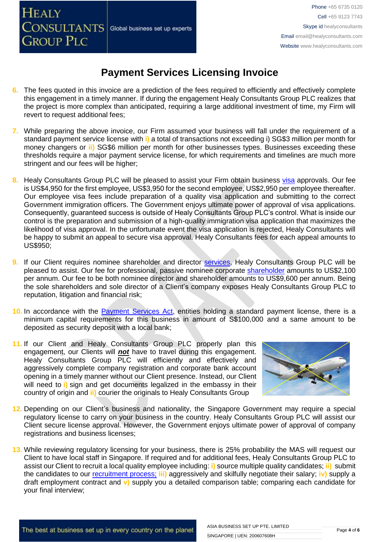# **CONSULTANTS** Global business set up experts

**GROUP PLC** 

**HEALY** 

### **Payment Services Licensing Invoice**

- **6.** The fees quoted in this invoice are a prediction of the fees required to efficiently and effectively complete this engagement in a timely manner. If during the engagement Healy Consultants Group PLC realizes that the project is more complex than anticipated, requiring a large additional investment of time, my Firm will revert to request additional fees;
- **7.** While preparing the above invoice, our Firm assumed your business will fall under the requirement of a standard payment service license with **i)** a total of transactions not exceeding i) SG\$3 million per month for money changers or **ii)** SG\$6 million per month for other businesses types. Businesses exceeding these thresholds require a major payment service license, for which requirements and timelines are much more stringent and our fees will be higher;
- **8.** Healy Consultants Group PLC will be pleased to assist your Firm obtain business [visa](http://www.healyconsultants.com/singapore-company-registration/employment-visas/) approvals. Our fee is US\$4,950 for the first employee, US\$3,950 for the second employee, US\$2,950 per employee thereafter. Our employee visa fees include preparation of a quality visa application and submitting to the correct Government immigration officers. The Government enjoys ultimate power of approval of visa applications. Consequently, guaranteed success is outside of Healy Consultants Group PLC's control. What is inside our control is the preparation and submission of a high-quality immigration visa application that maximizes the likelihood of visa approval. In the unfortunate event the visa application is rejected, Healy Consultants will be happy to submit an appeal to secure visa approval. Healy Consultants fees for each appeal amounts to US\$950;
- **9.** If our Client requires nominee shareholder and director [services,](http://www.healyconsultants.com/corporate-outsourcing-services/nominee-shareholders-directors/) Healy Consultants Group PLC will be pleased to assist. Our fee for professional, passive nominee corporate [shareholder](http://www.healyconsultants.com/national-shareholder-services/) amounts to US\$2,100 per annum. Our fee to be both nominee director and shareholder amounts to US\$9,600 per annum. Being the sole shareholders and sole director of a Client's company exposes Healy Consultants Group PLC to reputation, litigation and financial risk;
- 10. In accordance with the **Payment Services Act**, entities holding a standard payment license, there is a minimum capital requirements for this business in amount of S\$100,000 and a same amount to be deposited as security deposit with a local bank;
- **11.** If our Client and Healy Consultants Group PLC properly plan this engagement, our Clients will *not* have to travel during this engagement. Healy Consultants Group PLC will efficiently and effectively and aggressively complete company registration and corporate bank account opening in a timely manner without our Client presence. Instead, our Client will need to **i**) sign and get documents legalized in the embassy in their country of origin and **ii)** courier the originals to Healy Consultants Group



- **12.** Depending on our Client's business and nationality, the Singapore Government may require a special regulatory license to carry on your business in the country. Healy Consultants Group PLC will assist our Client secure license approval. However, the Government enjoys ultimate power of approval of company registrations and business licenses;
- **13.** While reviewing regulatory licensing for your business, there is 25% probability the MAS will request our Client to have local staff in Singapore. If required and for additional fees, Healy Consultants Group PLC to assist our Client to recruit a local quality employee including: **i)** source multiple quality candidates; **ii)** submit the candidates to our [recruitment process;](https://www.healyconsultants.com/corporate-advisory-services/staff-recruitment/) **iii)** aggressively and skilfully negotiate their salary; **iv)** supply a draft employment contract and **v)** supply you a detailed comparison table; comparing each candidate for your final interview;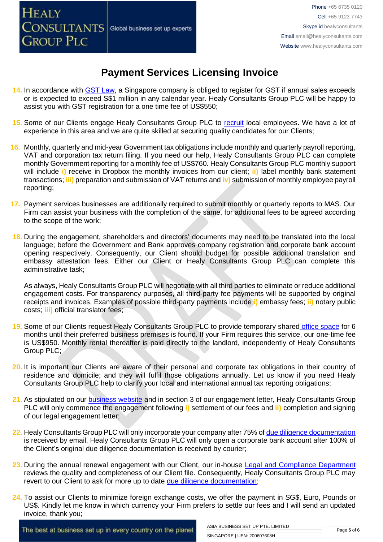- **14.** In accordance with [GST Law,](http://www.iras.gov.sg/irasHome/page03.aspx?id=648) a Singapore company is obliged to register for GST if annual sales exceeds or is expected to exceed S\$1 million in any calendar year. Healy Consultants Group PLC will be happy to assist you with GST registration for a one time fee of US\$550;
- **15.** Some of our Clients engage Healy Consultants Group PLC to [recruit](http://www.healyconsultants.com/corporate-outsourcing-services/how-we-help-our-clients-recruit-quality-employees/) local employees. We have a lot of experience in this area and we are quite skilled at securing quality candidates for our Clients;
- **16.** Monthly, quarterly and mid-year Government tax obligations include monthly and quarterly payroll reporting, VAT and corporation tax return filing. If you need our help, Healy Consultants Group PLC can complete monthly Government reporting for a monthly fee of US\$760. Healy Consultants Group PLC monthly support will include **i)** receive in Dropbox the monthly invoices from our client; **ii)** label monthly bank statement transactions; **iii)** preparation and submission of VAT returns and **iv)** submission of monthly employee payroll reporting;
- **17.** Payment services businesses are additionally required to submit monthly or quarterly reports to MAS. Our Firm can assist your business with the completion of the same, for additional fees to be agreed according to the scope of the work;
- **18.** During the engagement, shareholders and directors' documents may need to be translated into the local language; before the Government and Bank approves company registration and corporate bank account opening respectively. Consequently, our Client should budget for possible additional translation and embassy attestation fees. Either our Client or Healy Consultants Group PLC can complete this administrative task;

As always, Healy Consultants Group PLC will negotiate with all third parties to eliminate or reduce additional engagement costs. For transparency purposes, all third-party fee payments will be supported by original receipts and invoices. Examples of possible third-party payments include **i)** embassy fees; **ii)** notary public costs; **iii)** official translator fees;

- **19.** Some of our Clients request Healy Consultants Group PLC to provide temporary shared [office space](http://www.healyconsultants.com/virtual-office/) for 6 months until their preferred business premises is found. If your Firm requires this service, our one-time fee is US\$950. Monthly rental thereafter is paid directly to the landlord, independently of Healy Consultants Group PLC;
- **20.** It is important our Clients are aware of their personal and corporate tax obligations in their country of residence and domicile; and they will fulfil those obligations annually. Let us know if you need Healy Consultants Group PLC help to clarify your local and international annual tax reporting obligations;
- **21.** As stipulated on our [business website](http://www.healyconsultants.com/) and in section 3 of our engagement letter, Healy Consultants Group PLC will only commence the engagement following **i)** settlement of our fees and **ii)** completion and signing of our legal engagement letter;
- **22.** Healy Consultants Group PLC will only incorporate your company after 75% of [due diligence documentation](http://www.healyconsultants.com/due-diligence/) is received by email. Healy Consultants Group PLC will only open a corporate bank account after 100% of the Client's original due diligence documentation is received by courier;
- 23. During the annual renewal engagement with our Client, our in-house [Legal and Compliance Department](http://www.healyconsultants.com/about-us/key-personnel/cai-xin-profile/) reviews the quality and completeness of our Client file. Consequently, Healy Consultants Group PLC may revert to our Client to ask for more up to date [due diligence documentation;](http://www.healyconsultants.com/due-diligence/)
- **24.** To assist our Clients to minimize foreign exchange costs, we offer the payment in SG\$, Euro, Pounds or US\$. Kindly let me know in which currency your Firm prefers to settle our fees and I will send an updated invoice, thank you;

The best at business set up in every country on the planet